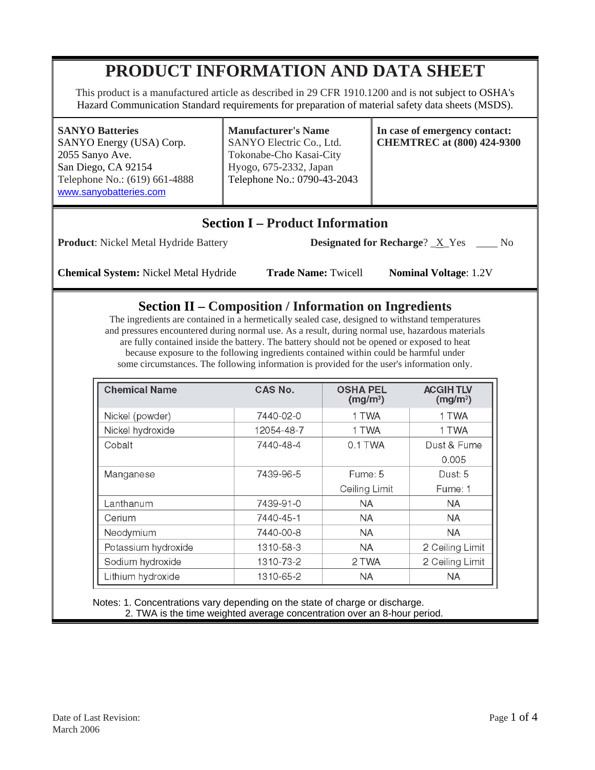# **PRODUCT INFORMATION AND DATA SHEET**

This product is a manufactured article as described in 29 CFR 1910.1200 and is not subject to OSHA's Hazard Communication Standard requirements for preparation of material safety data sheets (MSDS).

#### **SANYO Batteries**

SANYO Energy (USA) Corp. 2055 Sanyo Ave. San Diego, CA 92154 Telephone No.: (619) 661-4888 www.sanyobatteries.com

**Manufacturer's Name**  SANYO Electric Co., Ltd. Tokonabe-Cho Kasai-City Hyogo, 675-2332, Japan Telephone No.: 0790-43-2043

**In case of emergency contact: CHEMTREC at (800) 424-9300**

## **Section I – Product Information**

**Product**: Nickel Metal Hydride Battery **Designated for Recharge**? X Yes \_\_\_ No

**Chemical System:** Nickel Metal Hydride **Trade Name:** Twicell **Nominal Voltage**: 1.2V

### **Section II – Composition / Information on Ingredients**

The ingredients are contained in a hermetically sealed case, designed to withstand temperatures and pressures encountered during normal use. As a result, during normal use, hazardous materials are fully contained inside the battery. The battery should not be opened or exposed to heat because exposure to the following ingredients contained within could be harmful under some circumstances. The following information is provided for the user's information only.

| <b>Chemical Name</b> | CAS No.    | <b>OSHA PEL</b><br>(mg/m <sup>3</sup> ) | <b>ACGIHTLV</b><br>(mg/m <sup>3</sup> ) |
|----------------------|------------|-----------------------------------------|-----------------------------------------|
| Nickel (powder)      | 7440-02-0  | 1 TWA                                   | 1 TWA                                   |
| Nickel hydroxide     | 12054-48-7 | 1 TWA                                   | 1 TWA                                   |
| Cobalt               | 7440-48-4  | 0.1 TWA                                 | Dust & Fume                             |
|                      |            |                                         | 0.005                                   |
| Manganese            | 7439-96-5  | Fume: 5                                 | Dust: 5                                 |
|                      |            | Ceiling Limit                           | Fume: 1                                 |
| Lanthanum            | 7439-91-0  | <b>NA</b>                               | <b>NA</b>                               |
| Cerium               | 7440-45-1  | <b>NA</b>                               | <b>NA</b>                               |
| Neodymium            | 7440-00-8  | <b>NA</b>                               | <b>NA</b>                               |
| Potassium hydroxide  | 1310-58-3  | <b>NA</b>                               | 2 Ceiling Limit                         |
| Sodium hydroxide     | 1310-73-2  | 2 TWA                                   | 2 Ceiling Limit                         |
| Lithium hydroxide    | 1310-65-2  | <b>NA</b>                               | <b>NA</b>                               |

 Notes: 1. Concentrations vary depending on the state of charge or discharge. 2. TWA is the time weighted average concentration over an 8-hour period.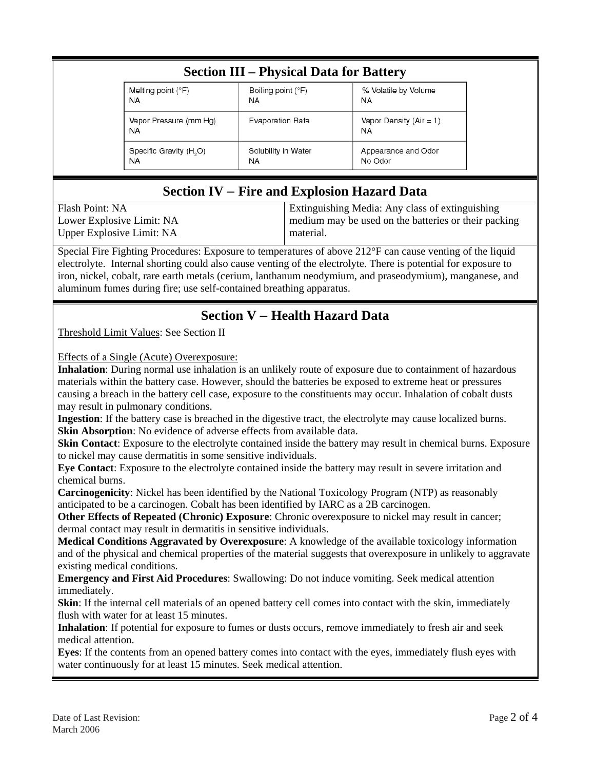| <b>Section III – Physical Data for Battery</b> |                         |                                        |  |
|------------------------------------------------|-------------------------|----------------------------------------|--|
| Melting point $(°F)$                           | Boiling point (°F)      | % Volatile by Volume                   |  |
| <b>NA</b>                                      | <b>NA</b>               | <b>NA</b>                              |  |
| Vapor Pressure (mm Hg)<br><b>NA</b>            | <b>Evaporation Rate</b> | Vapor Density $(Air = 1)$<br><b>NA</b> |  |
| Specific Gravity (H <sub>2</sub> O)            | Solubility in Water     | Appearance and Odor                    |  |
| <b>NA</b>                                      | NA                      | No Odor                                |  |

## **Section IV** – **Fire and Explosion Hazard Data**

Flash Point: NA Lower Explosive Limit: NA Upper Explosive Limit: NA

Extinguishing Media: Any class of extinguishing medium may be used on the batteries or their packing material.

Special Fire Fighting Procedures: Exposure to temperatures of above 212°F can cause venting of the liquid electrolyte. Internal shorting could also cause venting of the electrolyte. There is potential for exposure to iron, nickel, cobalt, rare earth metals (cerium, lanthanum neodymium, and praseodymium), manganese, and aluminum fumes during fire; use self-contained breathing apparatus.

## **Section V** – **Health Hazard Data**

Threshold Limit Values: See Section II

Effects of a Single (Acute) Overexposure:

**Inhalation**: During normal use inhalation is an unlikely route of exposure due to containment of hazardous materials within the battery case. However, should the batteries be exposed to extreme heat or pressures causing a breach in the battery cell case, exposure to the constituents may occur. Inhalation of cobalt dusts may result in pulmonary conditions.

**Ingestion**: If the battery case is breached in the digestive tract, the electrolyte may cause localized burns. **Skin Absorption**: No evidence of adverse effects from available data.

**Skin Contact:** Exposure to the electrolyte contained inside the battery may result in chemical burns. Exposure to nickel may cause dermatitis in some sensitive individuals.

**Eye Contact**: Exposure to the electrolyte contained inside the battery may result in severe irritation and chemical burns.

**Carcinogenicity**: Nickel has been identified by the National Toxicology Program (NTP) as reasonably anticipated to be a carcinogen. Cobalt has been identified by IARC as a 2B carcinogen.

**Other Effects of Repeated (Chronic) Exposure:** Chronic overexposure to nickel may result in cancer; dermal contact may result in dermatitis in sensitive individuals.

**Medical Conditions Aggravated by Overexposure**: A knowledge of the available toxicology information and of the physical and chemical properties of the material suggests that overexposure in unlikely to aggravate existing medical conditions.

**Emergency and First Aid Procedures**: Swallowing: Do not induce vomiting. Seek medical attention immediately.

**Skin**: If the internal cell materials of an opened battery cell comes into contact with the skin, immediately flush with water for at least 15 minutes.

**Inhalation**: If potential for exposure to fumes or dusts occurs, remove immediately to fresh air and seek medical attention.

**Eyes**: If the contents from an opened battery comes into contact with the eyes, immediately flush eyes with water continuously for at least 15 minutes. Seek medical attention.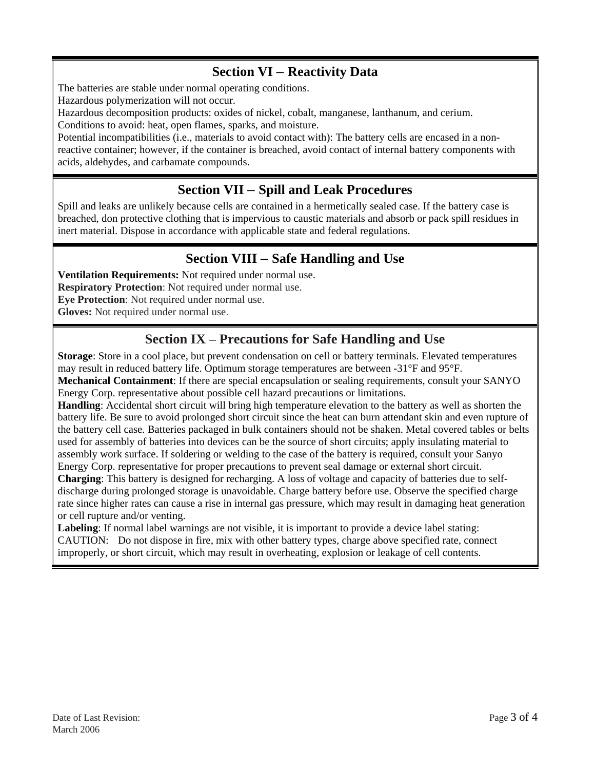### **Section VI** – **Reactivity Data**

The batteries are stable under normal operating conditions.

Hazardous polymerization will not occur.

Hazardous decomposition products: oxides of nickel, cobalt, manganese, lanthanum, and cerium.

Conditions to avoid: heat, open flames, sparks, and moisture.

Potential incompatibilities (i.e., materials to avoid contact with): The battery cells are encased in a nonreactive container; however, if the container is breached, avoid contact of internal battery components with acids, aldehydes, and carbamate compounds.

## **Section VII** – **Spill and Leak Procedures**

Spill and leaks are unlikely because cells are contained in a hermetically sealed case. If the battery case is breached, don protective clothing that is impervious to caustic materials and absorb or pack spill residues in inert material. Dispose in accordance with applicable state and federal regulations.

## **Section VIII** – **Safe Handling and Use**

**Ventilation Requirements:** Not required under normal use. **Respiratory Protection**: Not required under normal use. **Eye Protection**: Not required under normal use. **Gloves:** Not required under normal use.

## **Section IX** – **Precautions for Safe Handling and Use**

**Storage**: Store in a cool place, but prevent condensation on cell or battery terminals. Elevated temperatures may result in reduced battery life. Optimum storage temperatures are between -31°F and 95°F.

**Mechanical Containment**: If there are special encapsulation or sealing requirements, consult your SANYO Energy Corp. representative about possible cell hazard precautions or limitations.

**Handling**: Accidental short circuit will bring high temperature elevation to the battery as well as shorten the battery life. Be sure to avoid prolonged short circuit since the heat can burn attendant skin and even rupture of the battery cell case. Batteries packaged in bulk containers should not be shaken. Metal covered tables or belts used for assembly of batteries into devices can be the source of short circuits; apply insulating material to assembly work surface. If soldering or welding to the case of the battery is required, consult your Sanyo Energy Corp. representative for proper precautions to prevent seal damage or external short circuit.

**Charging**: This battery is designed for recharging. A loss of voltage and capacity of batteries due to selfdischarge during prolonged storage is unavoidable. Charge battery before use. Observe the specified charge rate since higher rates can cause a rise in internal gas pressure, which may result in damaging heat generation or cell rupture and/or venting.

**Labeling**: If normal label warnings are not visible, it is important to provide a device label stating: CAUTION: Do not dispose in fire, mix with other battery types, charge above specified rate, connect improperly, or short circuit, which may result in overheating, explosion or leakage of cell contents.